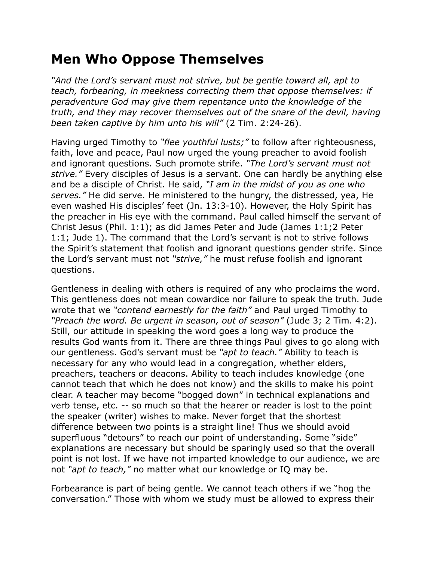## **Men Who Oppose Themselves**

*"And the Lord's servant must not strive, but be gentle toward all, apt to teach, forbearing, in meekness correcting them that oppose themselves: if peradventure God may give them repentance unto the knowledge of the truth, and they may recover themselves out of the snare of the devil, having been taken captive by him unto his will"* (2 Tim. 2:24-26).

Having urged Timothy to *"flee youthful lusts;"* to follow after righteousness, faith, love and peace, Paul now urged the young preacher to avoid foolish and ignorant questions. Such promote strife. *"The Lord's servant must not strive."* Every disciples of Jesus is a servant. One can hardly be anything else and be a disciple of Christ. He said, *"I am in the midst of you as one who serves."* He did serve. He ministered to the hungry, the distressed, yea, He even washed His disciples' feet (Jn. 13:3-10). However, the Holy Spirit has the preacher in His eye with the command. Paul called himself the servant of Christ Jesus (Phil. 1:1); as did James Peter and Jude (James 1:1;2 Peter 1:1; Jude 1). The command that the Lord's servant is not to strive follows the Spirit's statement that foolish and ignorant questions gender strife. Since the Lord's servant must not *"strive,"* he must refuse foolish and ignorant questions.

Gentleness in dealing with others is required of any who proclaims the word. This gentleness does not mean cowardice nor failure to speak the truth. Jude wrote that we *"contend earnestly for the faith"* and Paul urged Timothy to *"Preach the word. Be urgent in season, out of season"* (Jude 3; 2 Tim. 4:2). Still, our attitude in speaking the word goes a long way to produce the results God wants from it. There are three things Paul gives to go along with our gentleness. God's servant must be *"apt to teach."* Ability to teach is necessary for any who would lead in a congregation, whether elders, preachers, teachers or deacons. Ability to teach includes knowledge (one cannot teach that which he does not know) and the skills to make his point clear. A teacher may become "bogged down" in technical explanations and verb tense, etc. -- so much so that the hearer or reader is lost to the point the speaker (writer) wishes to make. Never forget that the shortest difference between two points is a straight line! Thus we should avoid superfluous "detours" to reach our point of understanding. Some "side" explanations are necessary but should be sparingly used so that the overall point is not lost. If we have not imparted knowledge to our audience, we are not *"apt to teach,"* no matter what our knowledge or IQ may be.

Forbearance is part of being gentle. We cannot teach others if we "hog the conversation." Those with whom we study must be allowed to express their